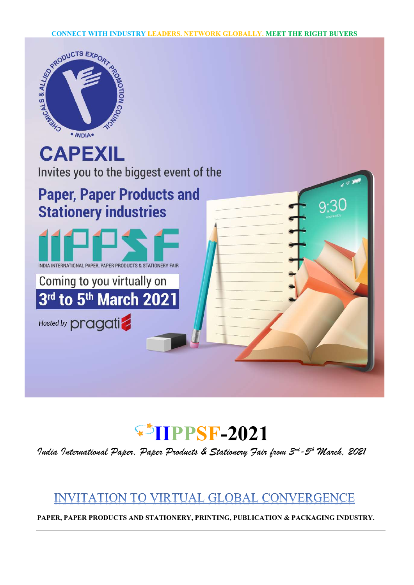



India International Paper, Paper Products & Stationery Fair from 3rd-5th March, 2021

## **INVITATION TO VIRTUAL GLOBAL CONVERGENCE**

PAPER, PAPER PRODUCTS AND STATIONERY, PRINTING, PUBLICATION & PACKAGING INDUSTRY.